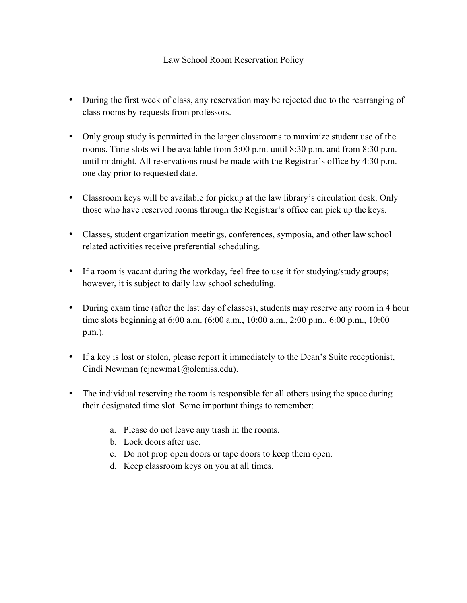## Law School Room Reservation Policy

- During the first week of class, any reservation may be rejected due to the rearranging of class rooms by requests from professors.
- Only group study is permitted in the larger classrooms to maximize student use of the rooms. Time slots will be available from 5:00 p.m. until 8:30 p.m. and from 8:30 p.m. until midnight. All reservations must be made with the Registrar's office by 4:30 p.m. one day prior to requested date.
- Classroom keys will be available for pickup at the law library's circulation desk. Only those who have reserved rooms through the Registrar's office can pick up the keys.
- Classes, student organization meetings, conferences, symposia, and other law school related activities receive preferential scheduling.
- If a room is vacant during the workday, feel free to use it for studying/study groups; however, it is subject to daily law school scheduling.
- During exam time (after the last day of classes), students may reserve any room in 4 hour time slots beginning at 6:00 a.m. (6:00 a.m., 10:00 a.m., 2:00 p.m., 6:00 p.m., 10:00 p.m.).
- If a key is lost or stolen, please report it immediately to the Dean's Suite receptionist, Cindi Newman (cjnewma1@olemiss.edu).
- The individual reserving the room is responsible for all others using the space during their designated time slot. Some important things to remember:
	- a. Please do not leave any trash in the rooms.
	- b. Lock doors after use.
	- c. Do not prop open doors or tape doors to keep them open.
	- d. Keep classroom keys on you at all times.